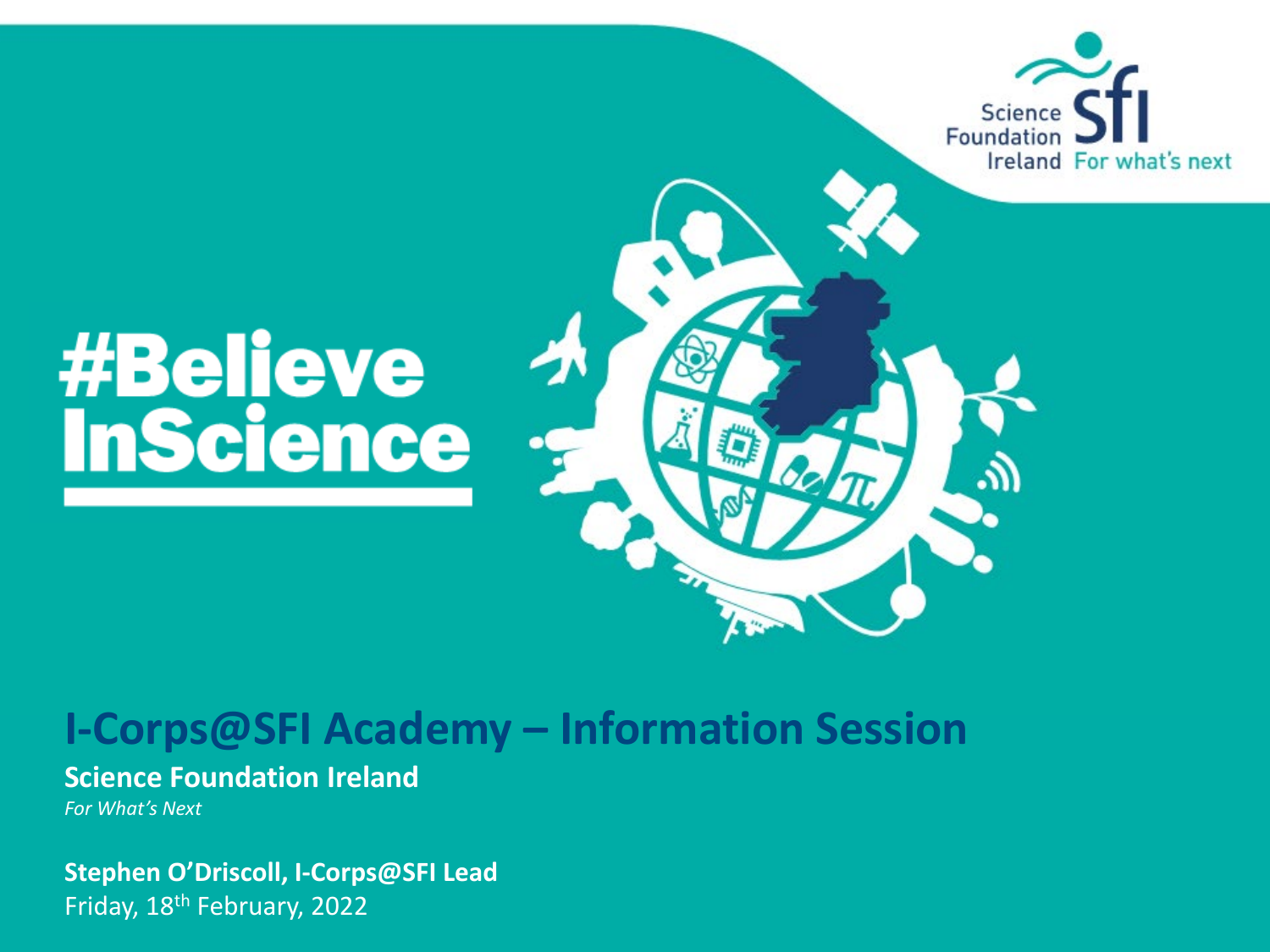

# **#Believe<br>InScience**

### **I-Corps@SFI Academy – Information Session**

#### **Science Foundation Ireland**

*For What's Next*

**Stephen O'Driscoll, I-Corps@SFI Lead** Friday, 18th February, 2022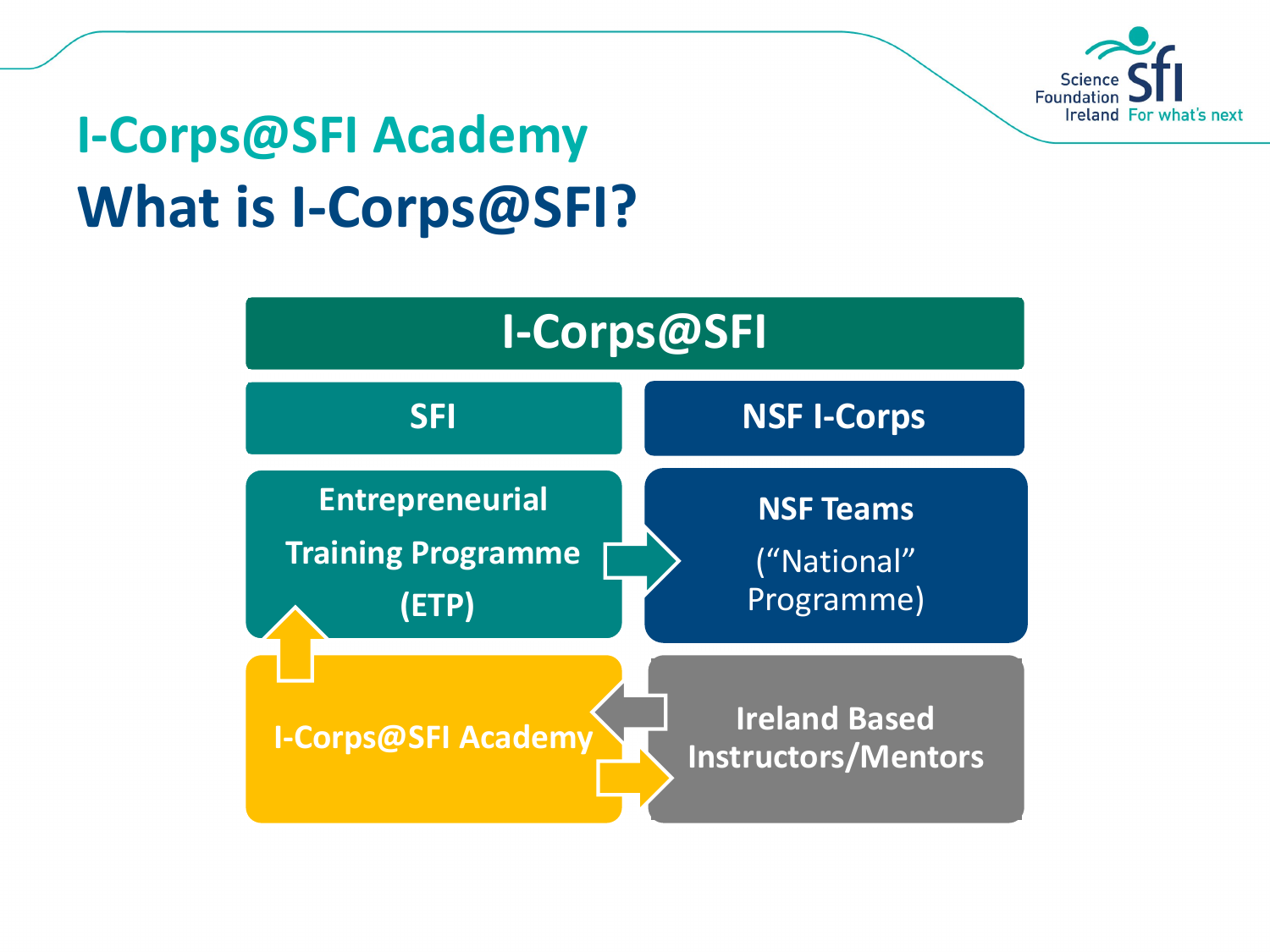

## **I-Corps@SFI Academy What is I-Corps@SFI?**

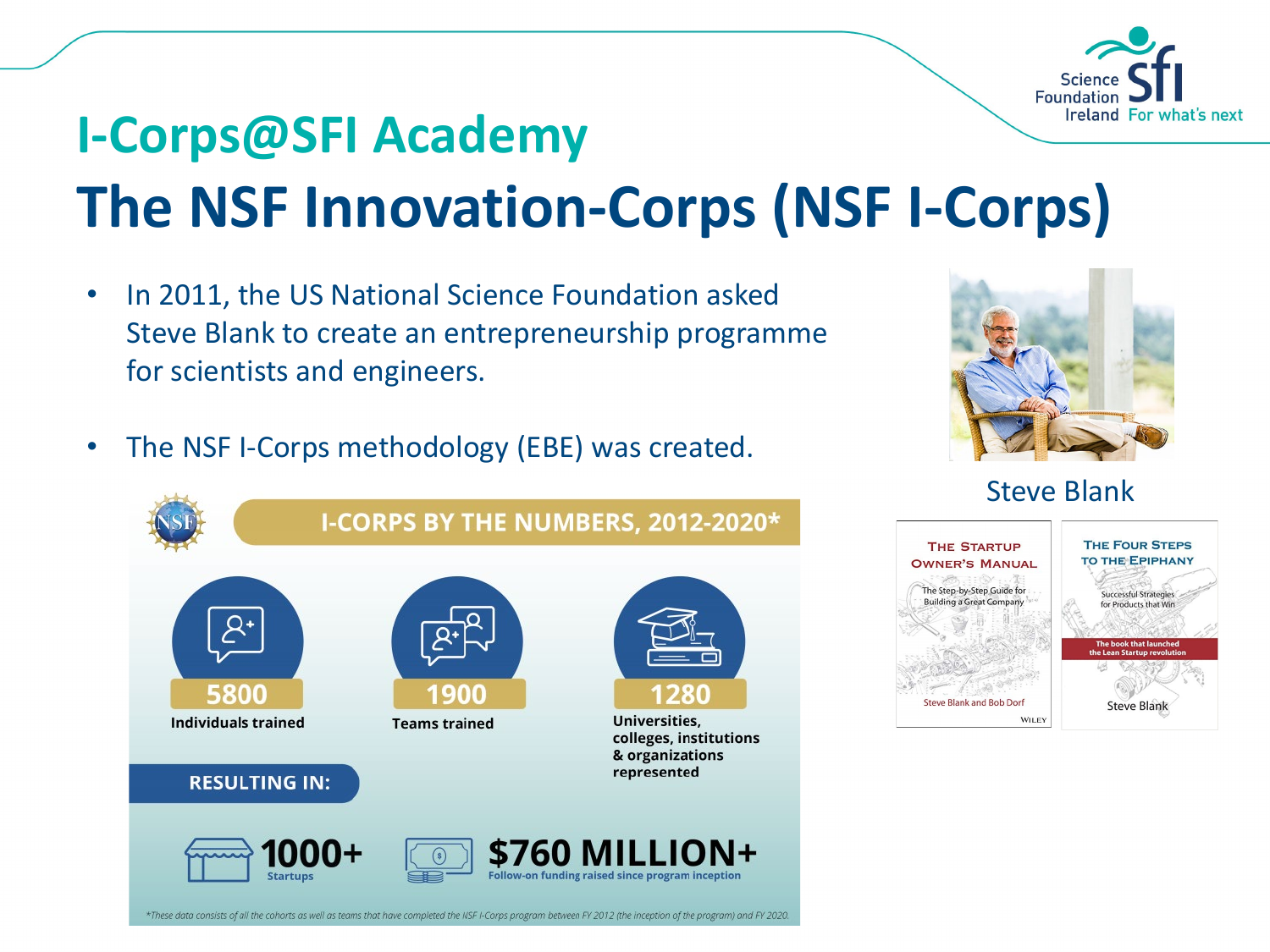

## **I-Corps@SFI Academy The NSF Innovation-Corps (NSF I-Corps)**

- In 2011, the US National Science Foundation asked Steve Blank to create an entrepreneurship programme for scientists and engineers.
- The NSF I-Corps methodology (EBE) was created.



Steve Blank





\*These data consists of all the cohorts as well as teams that have completed the NSF I-Corps program between FY 2012 (the inception of the program) and FY 2020.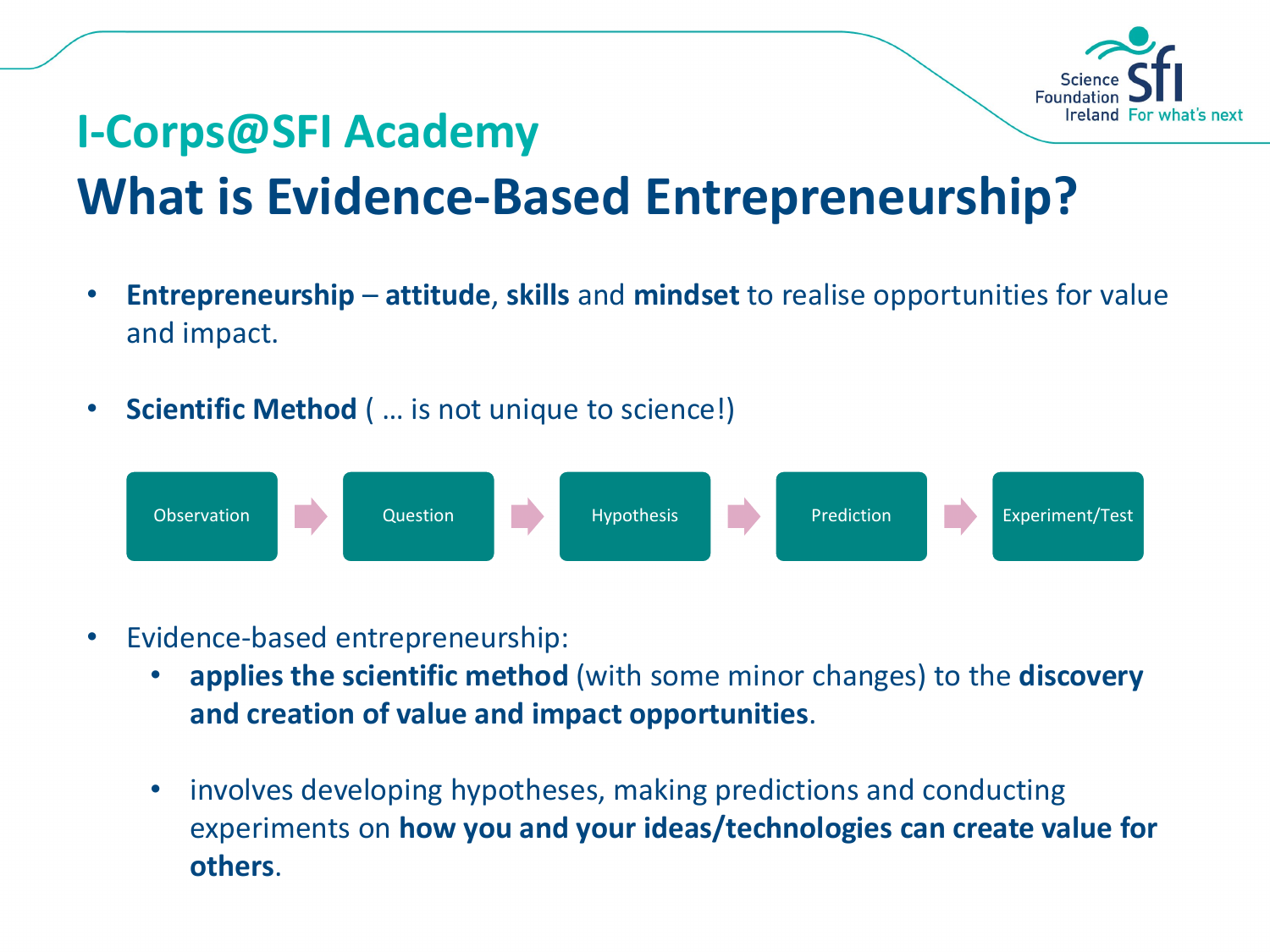

## **I-Corps@SFI Academy What is Evidence-Based Entrepreneurship?**

- **Entrepreneurship attitude**, **skills** and **mindset** to realise opportunities for value and impact.
- **Scientific Method** ( … is not unique to science!)

Observation Question Hypothesis Prediction Experiment/Test

- Evidence-based entrepreneurship:
	- **applies the scientific method** (with some minor changes) to the **discovery and creation of value and impact opportunities**.
	- involves developing hypotheses, making predictions and conducting experiments on **how you and your ideas/technologies can create value for others**.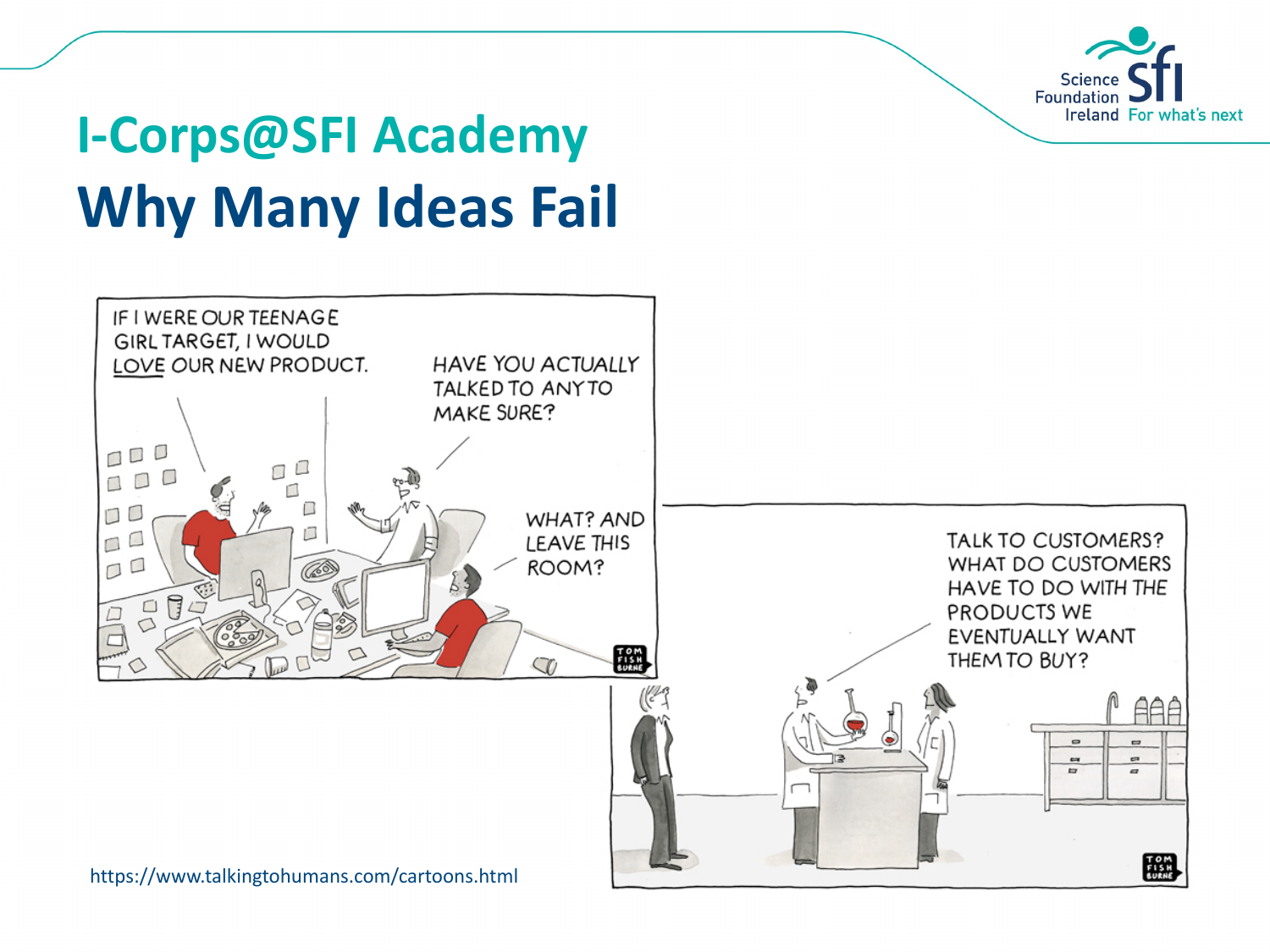

# **I-Corps@SFI Academy Why Many Ideas Fail**

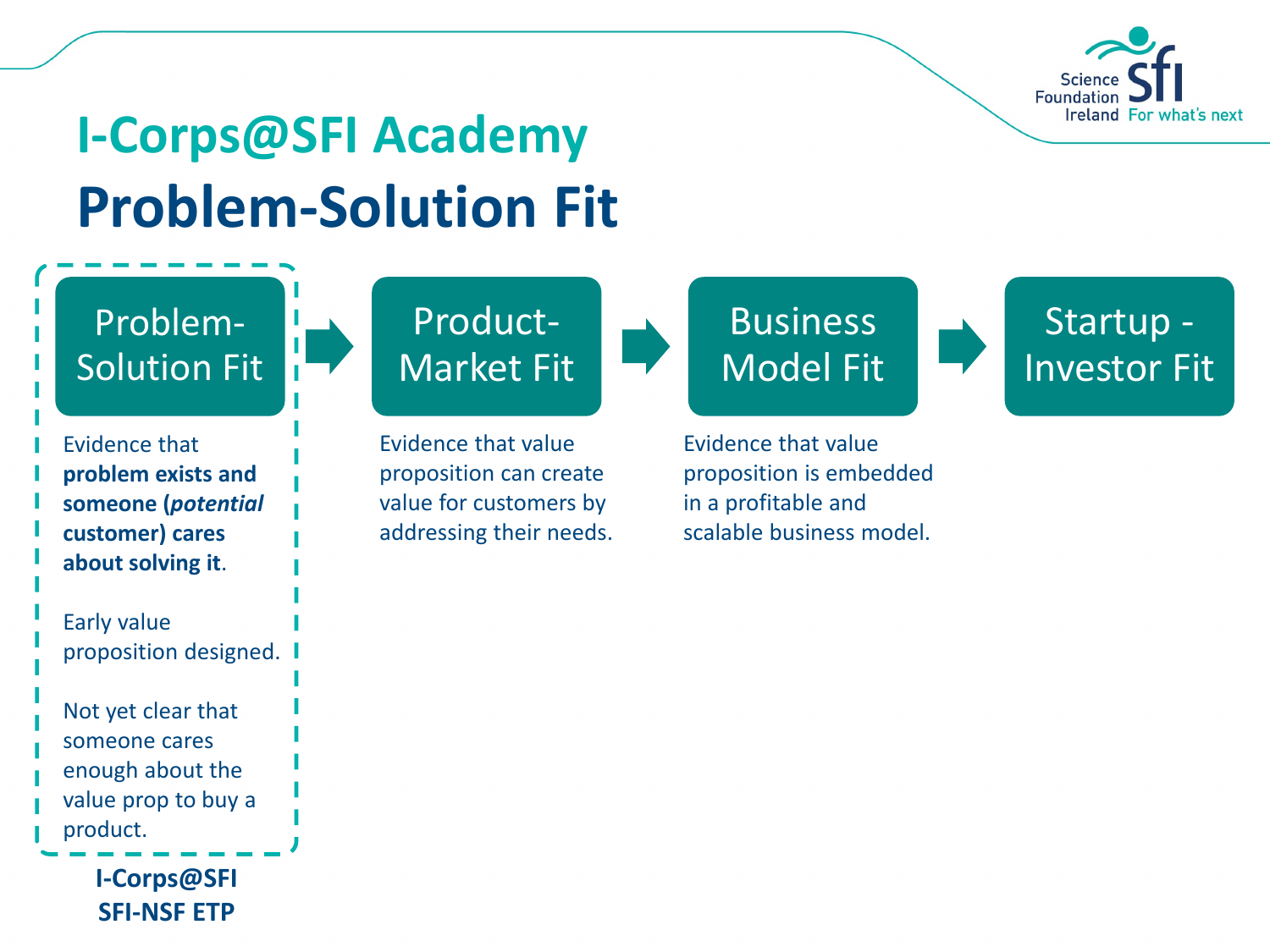![](_page_5_Picture_0.jpeg)

## **I-Corps@SFI Academy Problem-Solution Fit**

#### Problem-Solution Fit

- Evidence that **problem exists and someone (***potential* **customer) cares about solving it**.
- Early value proposition designed.

Not yet clear that someone cares enough about the value prop to buy a product.

> **I-Corps@SFI SFI-NSF ETP**

## Product-Market Fit

Evidence that value proposition can create value for customers by addressing their needs.

## **Business** Model Fit

Evidence that value proposition is embedded in a profitable and scalable business model.

Startup - Investor Fit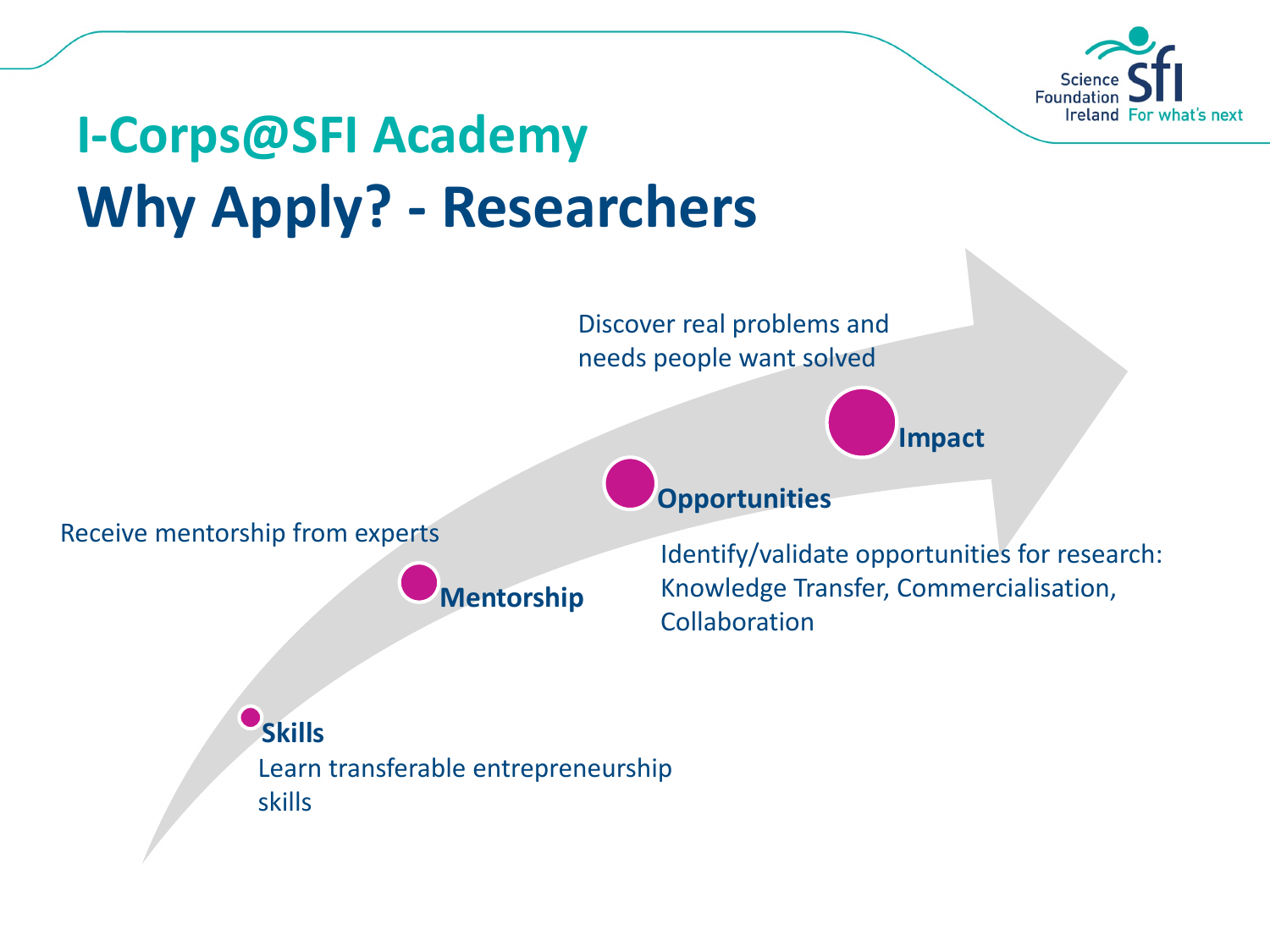![](_page_6_Picture_0.jpeg)

# **I-Corps@SFI Academy Why Apply? - Researchers**

Discover real problems and needs people want solved

**Opportunities**

**Impact**

Receive mentorship from experts

**Mentorship**

Identify/validate opportunities for research: Knowledge Transfer, Commercialisation, Collaboration

**Skills** Learn transferable entrepreneurship skills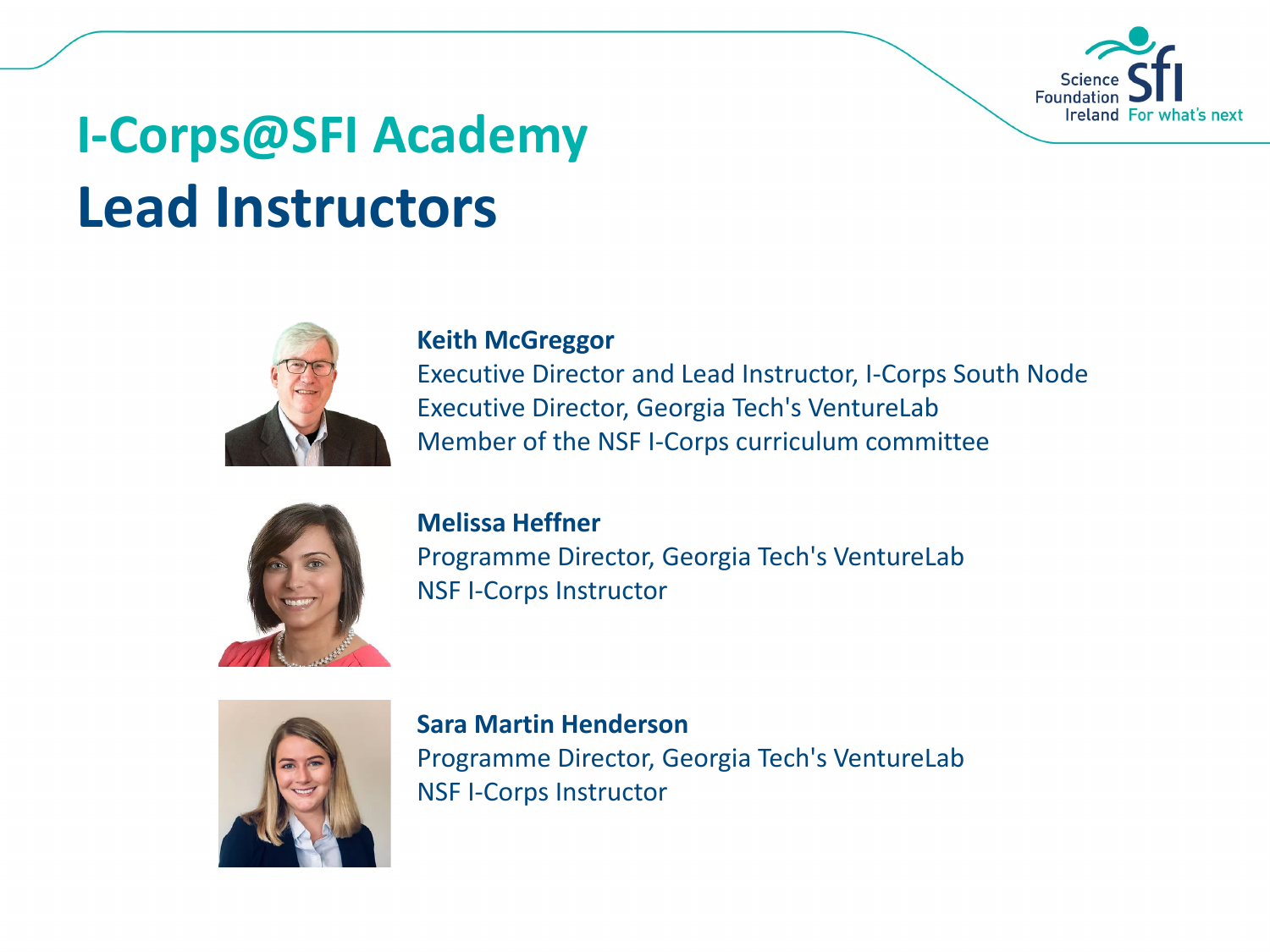![](_page_7_Picture_0.jpeg)

# **I-Corps@SFI Academy Lead Instructors**

![](_page_7_Picture_2.jpeg)

#### **Keith McGreggor**

Executive Director and Lead Instructor, I-Corps South Node Executive Director, Georgia Tech's VentureLab Member of the NSF I-Corps curriculum committee

![](_page_7_Picture_5.jpeg)

#### **Melissa Heffner**

Programme Director, Georgia Tech's VentureLab NSF I-Corps Instructor

![](_page_7_Picture_8.jpeg)

**Sara Martin Henderson** Programme Director, Georgia Tech's VentureLab NSF I-Corps Instructor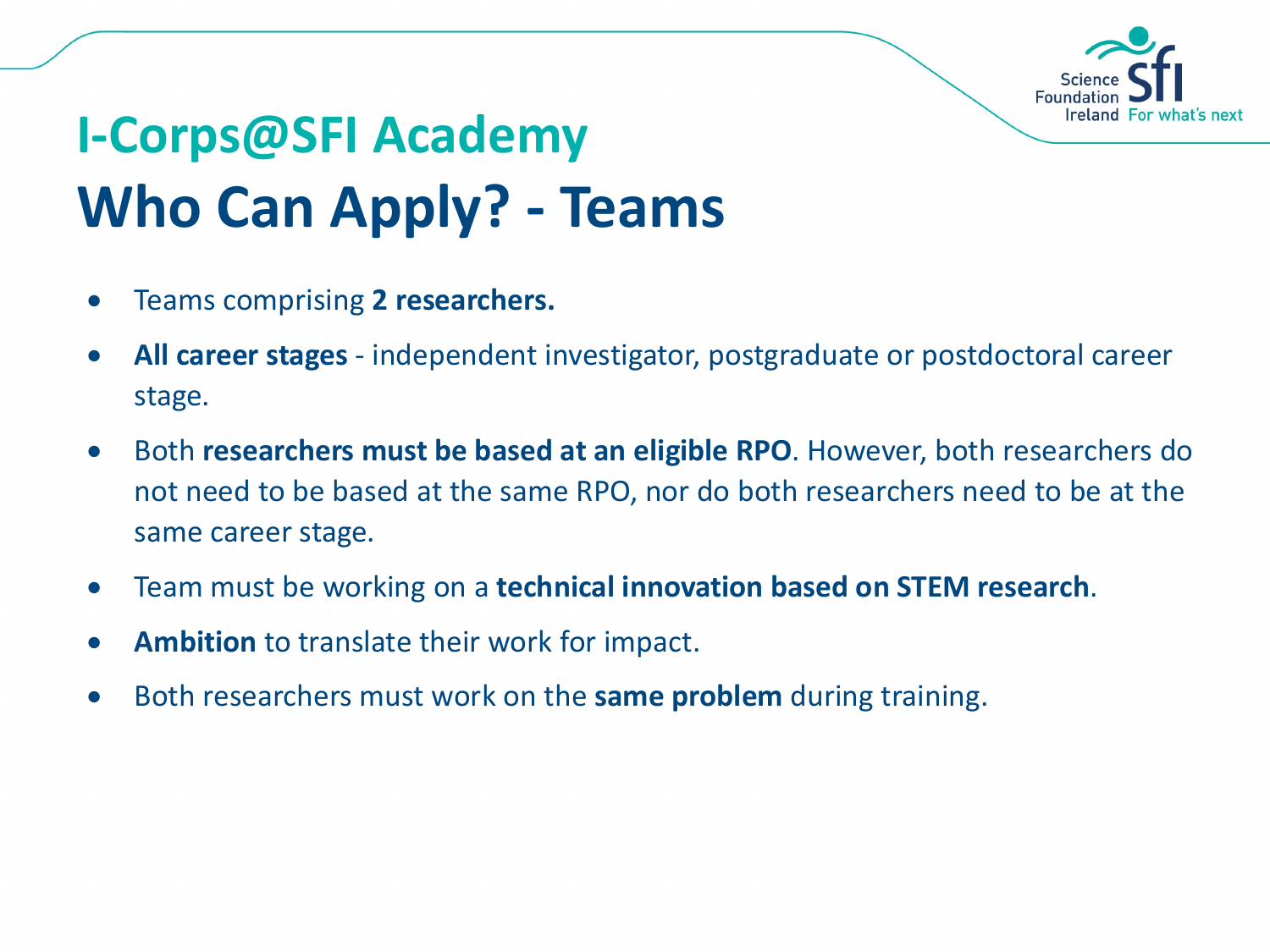![](_page_8_Picture_0.jpeg)

# **I-Corps@SFI Academy Who Can Apply? - Teams**

- Teams comprising **2 researchers.**
- **All career stages** independent investigator, postgraduate or postdoctoral career stage.
- Both **researchers must be based at an eligible RPO**. However, both researchers do not need to be based at the same RPO, nor do both researchers need to be at the same career stage.
- Team must be working on a **technical innovation based on STEM research**.
- **Ambition** to translate their work for impact.
- Both researchers must work on the **same problem** during training.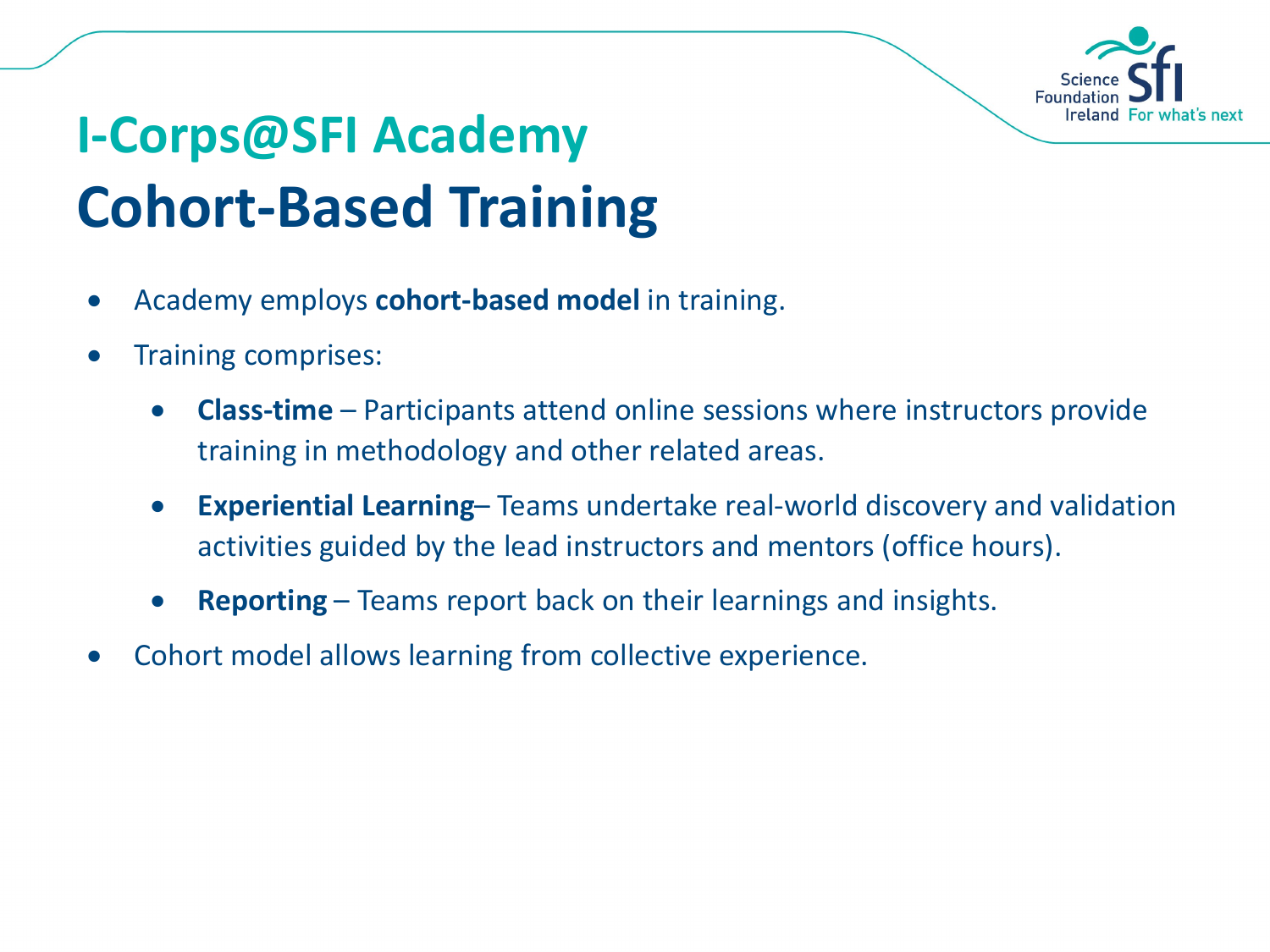![](_page_9_Picture_0.jpeg)

# **I-Corps@SFI Academy Cohort-Based Training**

- Academy employs **cohort-based model** in training.
- Training comprises:
	- **Class-time** Participants attend online sessions where instructors provide training in methodology and other related areas.
	- **Experiential Learning** Teams undertake real-world discovery and validation activities guided by the lead instructors and mentors (office hours).
	- **Reporting** Teams report back on their learnings and insights.
- Cohort model allows learning from collective experience.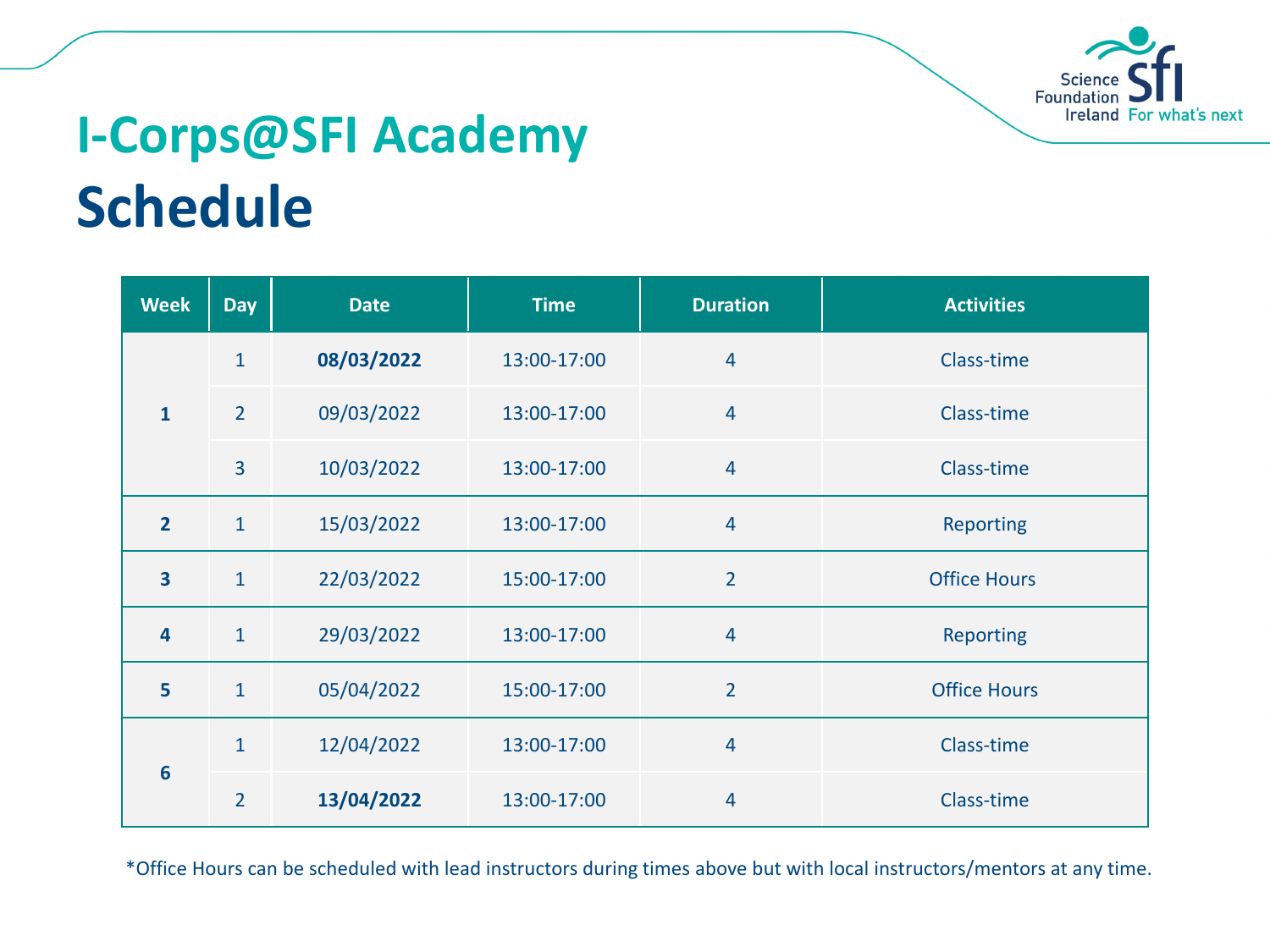![](_page_10_Picture_0.jpeg)

## **I-Corps@SFI Academy Schedule**

| <b>Week</b>             | <b>Day</b>     | <b>Date</b> | <b>Time</b> | <b>Duration</b> | <b>Activities</b>   |
|-------------------------|----------------|-------------|-------------|-----------------|---------------------|
| $\mathbf{1}$            | $\overline{1}$ | 08/03/2022  | 13:00-17:00 | $\overline{4}$  | Class-time          |
|                         | $\overline{2}$ | 09/03/2022  | 13:00-17:00 | $\overline{4}$  | Class-time          |
|                         | 3              | 10/03/2022  | 13:00-17:00 | $\overline{4}$  | Class-time          |
| $\overline{2}$          | $\mathbf{1}$   | 15/03/2022  | 13:00-17:00 | $\overline{4}$  | <b>Reporting</b>    |
| $\overline{\mathbf{3}}$ | $\mathbf{1}$   | 22/03/2022  | 15:00-17:00 | $\overline{2}$  | <b>Office Hours</b> |
| 4                       | $\mathbf{1}$   | 29/03/2022  | 13:00-17:00 | 4               | <b>Reporting</b>    |
| 5                       | $\mathbf{1}$   | 05/04/2022  | 15:00-17:00 | $\overline{2}$  | <b>Office Hours</b> |
| $6\phantom{1}6$         | $\mathbf{1}$   | 12/04/2022  | 13:00-17:00 | $\overline{4}$  | Class-time          |
|                         | $\overline{2}$ | 13/04/2022  | 13:00-17:00 | 4               | Class-time          |

\*Office Hours can be scheduled with lead instructors during times above but with local instructors/mentors at any time.